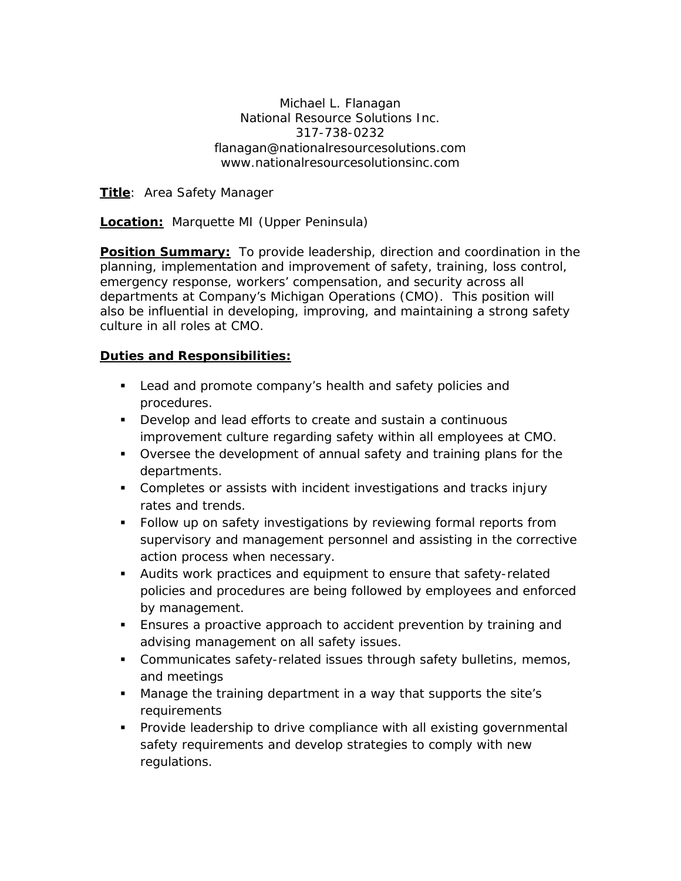Michael L. Flanagan National Resource Solutions Inc. 317-738-0232 flanagan@nationalresourcesolutions.com www.nationalresourcesolutionsinc.com

**Title**: Area Safety Manager

**Location:** Marquette MI (Upper Peninsula)

**Position Summary:** To provide leadership, direction and coordination in the planning, implementation and improvement of safety, training, loss control, emergency response, workers' compensation, and security across all departments at Company's Michigan Operations (CMO). This position will also be influential in developing, improving, and maintaining a strong safety culture in all roles at CMO.

#### **Duties and Responsibilities:**

- **Lead and promote company's health and safety policies and** procedures.
- Develop and lead efforts to create and sustain a continuous improvement culture regarding safety within all employees at CMO.
- Oversee the development of annual safety and training plans for the departments.
- **Completes or assists with incident investigations and tracks injury** rates and trends.
- **Follow up on safety investigations by reviewing formal reports from** supervisory and management personnel and assisting in the corrective action process when necessary.
- Audits work practices and equipment to ensure that safety-related policies and procedures are being followed by employees and enforced by management.
- Ensures a proactive approach to accident prevention by training and advising management on all safety issues.
- **Communicates safety-related issues through safety bulletins, memos,** and meetings
- Manage the training department in a way that supports the site's requirements
- **Provide leadership to drive compliance with all existing governmental** safety requirements and develop strategies to comply with new regulations.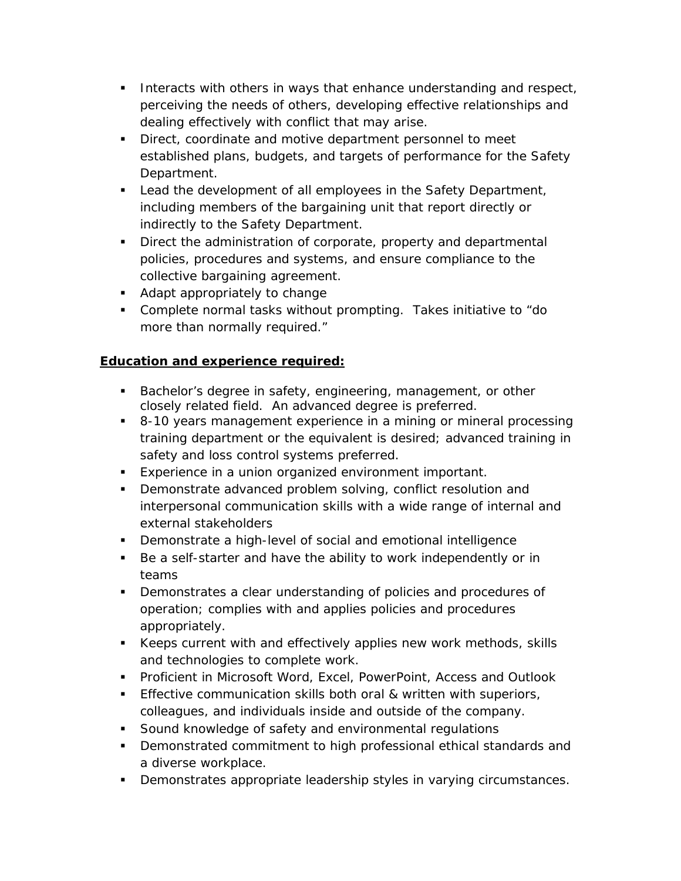- Interacts with others in ways that enhance understanding and respect, perceiving the needs of others, developing effective relationships and dealing effectively with conflict that may arise.
- **Direct, coordinate and motive department personnel to meet** established plans, budgets, and targets of performance for the Safety Department.
- Lead the development of all employees in the Safety Department, including members of the bargaining unit that report directly or indirectly to the Safety Department.
- Direct the administration of corporate, property and departmental policies, procedures and systems, and ensure compliance to the collective bargaining agreement.
- Adapt appropriately to change
- Complete normal tasks without prompting. Takes initiative to "do more than normally required."

# **Education and experience required:**

- **Bachelor's degree in safety, engineering, management, or other** closely related field. An advanced degree is preferred.
- 8-10 years management experience in a mining or mineral processing training department or the equivalent is desired; advanced training in safety and loss control systems preferred.
- **Experience in a union organized environment important.**
- **Demonstrate advanced problem solving, conflict resolution and** interpersonal communication skills with a wide range of internal and external stakeholders
- Demonstrate a high-level of social and emotional intelligence
- Be a self-starter and have the ability to work independently or in teams
- **Demonstrates a clear understanding of policies and procedures of** operation; complies with and applies policies and procedures appropriately.
- Keeps current with and effectively applies new work methods, skills and technologies to complete work.
- Proficient in Microsoft Word, Excel, PowerPoint, Access and Outlook
- **Effective communication skills both oral & written with superiors,** colleagues, and individuals inside and outside of the company.
- **Sound knowledge of safety and environmental regulations**
- **•** Demonstrated commitment to high professional ethical standards and a diverse workplace.
- **Demonstrates appropriate leadership styles in varying circumstances.**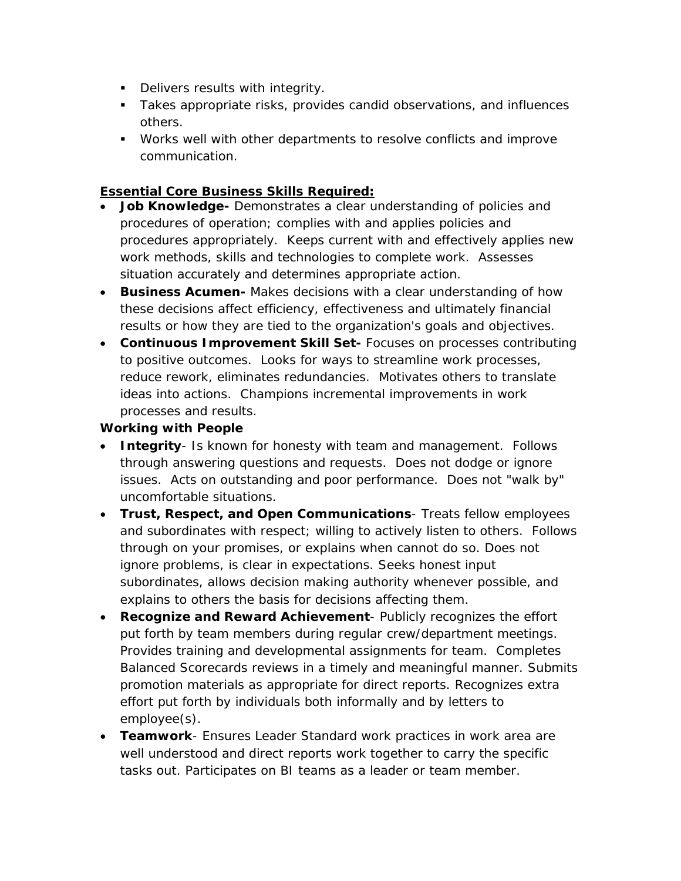- **Delivers results with integrity.**
- Takes appropriate risks, provides candid observations, and influences others.
- Works well with other departments to resolve conflicts and improve communication.

### **Essential Core Business Skills Required:**

- **Job Knowledge-** Demonstrates a clear understanding of policies and procedures of operation; complies with and applies policies and procedures appropriately. Keeps current with and effectively applies new work methods, skills and technologies to complete work. Assesses situation accurately and determines appropriate action.
- **Business Acumen-** Makes decisions with a clear understanding of how these decisions affect efficiency, effectiveness and ultimately financial results or how they are tied to the organization's goals and objectives.
- **Continuous Improvement Skill Set-** Focuses on processes contributing to positive outcomes. Looks for ways to streamline work processes, reduce rework, eliminates redundancies. Motivates others to translate ideas into actions. Champions incremental improvements in work processes and results.

### **Working with People**

- **Integrity** Is known for honesty with team and management. Follows through answering questions and requests. Does not dodge or ignore issues. Acts on outstanding and poor performance. Does not "walk by" uncomfortable situations.
- **Trust, Respect, and Open Communications** Treats fellow employees and subordinates with respect; willing to actively listen to others. Follows through on your promises, or explains when cannot do so. Does not ignore problems, is clear in expectations. Seeks honest input subordinates, allows decision making authority whenever possible, and explains to others the basis for decisions affecting them.
- **Recognize and Reward Achievement** Publicly recognizes the effort put forth by team members during regular crew/department meetings. Provides training and developmental assignments for team. Completes Balanced Scorecards reviews in a timely and meaningful manner. Submits promotion materials as appropriate for direct reports. Recognizes extra effort put forth by individuals both informally and by letters to employee(s).
- **Teamwork** Ensures Leader Standard work practices in work area are well understood and direct reports work together to carry the specific tasks out. Participates on BI teams as a leader or team member.